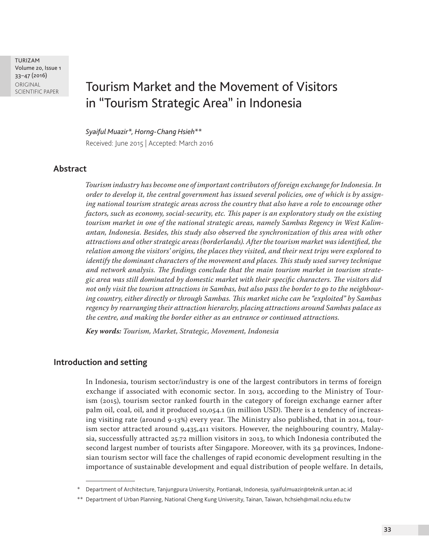TURIZAM Volume 20, Issue 1 33–47 (2016) ORIGINAL<br>SCIENTIFIC PAPER

# Tourism Market and the Movement of Visitors in "Tourism Strategic Area" in Indonesia

*Syaiful Muazir\*, Horng-Chang Hsieh\*\** Received: June 2015 | Accepted: March 2016

## **Abstract**

*Tourism industry has become one of important contributors of foreign exchange for Indonesia. In order to develop it, the central government has issued several policies, one of which is by assigning national tourism strategic areas across the country that also have a role to encourage other factors, such as economy, social-security, etc. This paper is an exploratory study on the existing tourism market in one of the national strategic areas, namely Sambas Regency in West Kalimantan, Indonesia. Besides, this study also observed the synchronization of this area with other attractions and other strategic areas (borderlands). After the tourism market was identified, the relation among the visitors' origins, the places they visited, and their next trips were explored to identify the dominant characters of the movement and places. This study used survey technique and network analysis. The findings conclude that the main tourism market in tourism strategic area was still dominated by domestic market with their specific characters. The visitors did not only visit the tourism attractions in Sambas, but also pass the border to go to the neighbouring country, either directly or through Sambas. This market niche can be "exploited" by Sambas regency by rearranging their attraction hierarchy, placing attractions around Sambas palace as the centre, and making the border either as an entrance or continued attractions.*

*Key words: Tourism, Market, Strategic, Movement, Indonesia*

## **Introduction and setting**

In Indonesia, tourism sector/industry is one of the largest contributors in terms of foreign exchange if associated with economic sector. In 2013, according to the Ministry of Tourism (2015), tourism sector ranked fourth in the category of foreign exchange earner after palm oil, coal, oil, and it produced 10,054.1 (in million USD). There is a tendency of increasing visiting rate (around 9-13%) every year. The Ministry also published, that in 2014, tourism sector attracted around 9,435,411 visitors. However, the neighbouring country, Malaysia, successfully attracted 25.72 million visitors in 2013, to which Indonesia contributed the second largest number of tourists after Singapore. Moreover, with its 34 provinces, Indonesian tourism sector will face the challenges of rapid economic development resulting in the importance of sustainable development and equal distribution of people welfare. In details,

Department of Architecture, Tanjungpura University, Pontianak, Indonesia, syaifulmuazir@teknik.untan.ac.id

<sup>\*\*</sup> Department of Urban Planning, National Cheng Kung University, Tainan, Taiwan, hchsieh@mail.ncku.edu.tw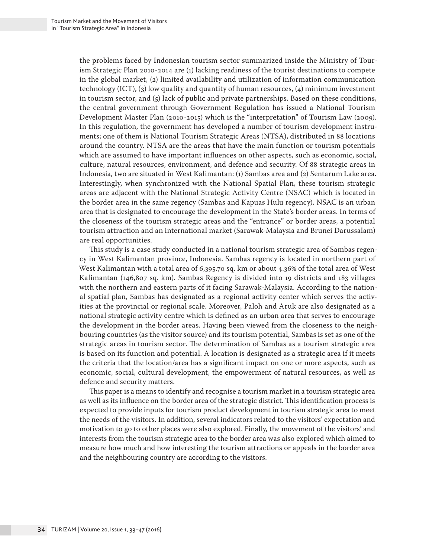the problems faced by Indonesian tourism sector summarized inside the Ministry of Tourism Strategic Plan 2010-2014 are (1) lacking readiness of the tourist destinations to compete in the global market, (2) limited availability and utilization of information communication technology (ICT), (3) low quality and quantity of human resources, (4) minimum investment in tourism sector, and (5) lack of public and private partnerships. Based on these conditions, the central government through Government Regulation has issued a National Tourism Development Master Plan (2010-2015) which is the "interpretation" of Tourism Law (2009). In this regulation, the government has developed a number of tourism development instruments; one of them is National Tourism Strategic Areas (NTSA), distributed in 88 locations around the country. NTSA are the areas that have the main function or tourism potentials which are assumed to have important influences on other aspects, such as economic, social, culture, natural resources, environment, and defence and security. Of 88 strategic areas in Indonesia, two are situated in West Kalimantan: (1) Sambas area and (2) Sentarum Lake area. Interestingly, when synchronized with the National Spatial Plan, these tourism strategic areas are adjacent with the National Strategic Activity Centre (NSAC) which is located in the border area in the same regency (Sambas and Kapuas Hulu regency). NSAC is an urban area that is designated to encourage the development in the State's border areas. In terms of the closeness of the tourism strategic areas and the "entrance" or border areas, a potential tourism attraction and an international market (Sarawak-Malaysia and Brunei Darussalam) are real opportunities.

This study is a case study conducted in a national tourism strategic area of Sambas regency in West Kalimantan province, Indonesia. Sambas regency is located in northern part of West Kalimantan with a total area of 6,395.70 sq. km or about 4.36% of the total area of West Kalimantan (146,807 sq. km). Sambas Regency is divided into 19 districts and 183 villages with the northern and eastern parts of it facing Sarawak-Malaysia. According to the national spatial plan, Sambas has designated as a regional activity center which serves the activities at the provincial or regional scale. Moreover, Paloh and Aruk are also designated as a national strategic activity centre which is defined as an urban area that serves to encourage the development in the border areas. Having been viewed from the closeness to the neighbouring countries (as the visitor source) and its tourism potential, Sambas is set as one of the strategic areas in tourism sector. The determination of Sambas as a tourism strategic area is based on its function and potential. A location is designated as a strategic area if it meets the criteria that the location/area has a significant impact on one or more aspects, such as economic, social, cultural development, the empowerment of natural resources, as well as defence and security matters.

This paper is a means to identify and recognise a tourism market in a tourism strategic area as well as its influence on the border area of the strategic district. This identification process is expected to provide inputs for tourism product development in tourism strategic area to meet the needs of the visitors. In addition, several indicators related to the visitors' expectation and motivation to go to other places were also explored. Finally, the movement of the visitors' and interests from the tourism strategic area to the border area was also explored which aimed to measure how much and how interesting the tourism attractions or appeals in the border area and the neighbouring country are according to the visitors.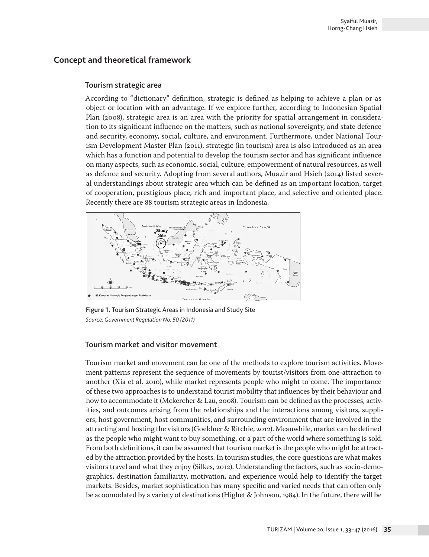# **Concept and theoretical framework**

### Tourism strategic area

According to "dictionary" definition, strategic is defined as helping to achieve a plan or as object or location with an advantage. If we explore further, according to Indonesian Spatial Plan (2008), strategic area is an area with the priority for spatial arrangement in consideration to its significant influence on the matters, such as national sovereignty, and state defence and security, economy, social, culture, and environment. Furthermore, under National Tourism Development Master Plan (2011), strategic (in tourism) area is also introduced as an area which has a function and potential to develop the tourism sector and has significant influence on many aspects, such as economic, social, culture, empowerment of natural resources, as well as defence and security. Adopting from several authors, Muazir and Hsieh (2014) listed several understandings about strategic area which can be defined as an important location, target of cooperation, prestigious place, rich and important place, and selective and oriented place. Recently there are 88 tourism strategic areas in Indonesia.



**Figure 1.** Tourism Strategic Areas in Indonesia and Study Site *Source: Government Regulation No. 50 (2011)*

## Tourism market and visitor movement

Tourism market and movement can be one of the methods to explore tourism activities. Movement patterns represent the sequence of movements by tourist/visitors from one-attraction to another (Xia et al. 2010), while market represents people who might to come. The importance of these two approaches is to understand tourist mobility that influences by their behaviour and how to accommodate it (Mckercher & Lau, 2008). Tourism can be defined as the processes, activities, and outcomes arising from the relationships and the interactions among visitors, suppliers, host government, host communities, and surrounding environment that are involved in the attracting and hosting the visitors (Goeldner & Ritchie, 2012). Meanwhile, market can be defined as the people who might want to buy something, or a part of the world where something is sold. From both definitions, it can be assumed that tourism market is the people who might be attracted by the attraction provided by the hosts. In tourism studies, the core questions are what makes visitors travel and what they enjoy (Silkes, 2012). Understanding the factors, such as socio-demographics, destination familiarity, motivation, and experience would help to identify the target markets. Besides, market sophistication has many specific and varied needs that can often only be acoomodated by a variety of destinations (Highet & Johnson, 1984). In the future, there will be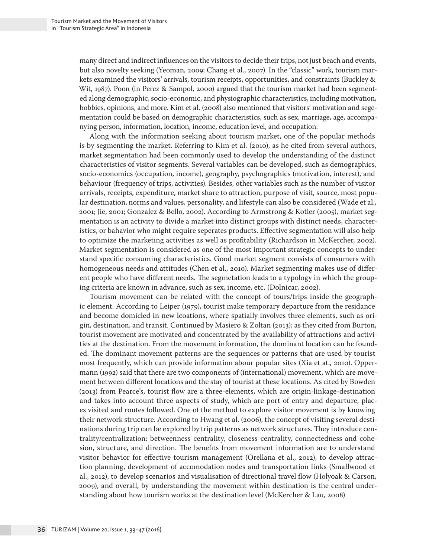many direct and indirect influences on the visitors to decide their trips, not just beach and events, but also novelty seeking (Yeoman, 2009; Chang et al., 2007). In the "classic" work, tourism markets examined the visitors' arrivals, tourism receipts, opportunities, and constraints (Buckley & Wit, 1987). Poon (in Perez & Sampol, 2000) argued that the tourism market had been segmented along demographic, socio-economic, and physiographic characteristics, including motivation, hobbies, opinions, and more. Kim et al. (2008) also mentioned that visitors' motivation and segementation could be based on demographic characteristics, such as sex, marriage, age, accompanying person, information, location, income, education level, and occupation.

Along with the information seeking about tourism market, one of the popular methods is by segmenting the market. Referring to Kim et al. (2010), as he cited from several authors, market segmentation had been commonly used to develop the understanding of the distinct characteristics of visitor segments. Several variables can be developed, such as demographics, socio-economics (occupation, income), geography, psychographics (motivation, interest), and behaviour (frequency of trips, activities). Besides, other variables such as the number of visitor arrivals, receipts, expenditure, market share to attraction, purpose of visit, source, most popular destination, norms and values, personality, and lifestyle can also be considered (Wade et al., 2001; Jie, 2001; Gonzalez & Bello, 2002). According to Armstrong & Kotler (2005), market segmentation is an activity to divide a market into distinct groups with distinct needs, characteristics, or bahavior who might require seperates products. Effective segmentation will also help to optimize the marketing activities as well as profitability (Richardson in McKercher, 2002). Market segmentation is considered as one of the most important strategic concepts to understand specific consuming characteristics. Good market segment consists of consumers with homogeneous needs and attitudes (Chen et al., 2010). Market segmenting makes use of different people who have different needs. The segmetation leads to a typology in which the grouping criteria are known in advance, such as sex, income, etc. (Dolnicar, 2002).

Tourism movement can be related with the concept of tours/trips inside the geographic element. According to Leiper (1979), tourist make temporary departure from the residance and become domicled in new lcoations, where spatially involves three elements, such as origin, destination, and transit. Continued by Masiero & Zoltan (2013); as they cited from Burton, tourist movement are motivated and concentrated by the availability of attractions and activities at the destination. From the movement information, the dominant location can be founded. The dominant movement patterns are the sequences or patterns that are used by tourist most frequently, which can provide information abour popular sites (Xia et at., 2010). Oppermann (1992) said that there are two components of (international) movement, which are movement between different locations and the stay of tourist at these locations. As cited by Bowden (2013) from Pearce's, tourist flow are a three-elements, which are origin-linkage-destination and takes into account three aspects of study, which are port of entry and departure, places visited and routes followed. One of the method to explore visitor movement is by knowing their network structure. According to Hwang et al. (2006), the concept of visiting several destinations during trip can be explored by trip patterns as network structures. They introduce centrality/centralization: betweenness centrality, closeness centrality, connectedness and cohesion, structure, and direction. The benefits from movement information are to understand visitor behavior for effective tourism management (Orellana et al., 2012), to develop attraction planning, development of accomodation nodes and transportation links (Smallwood et al., 2012), to develop scenarios and visualisation of directional travel flow (Holyoak & Carson, 2009), and overall, by understanding the movement within destination is the central understanding about how tourism works at the destination level (McKercher & Lau, 2008)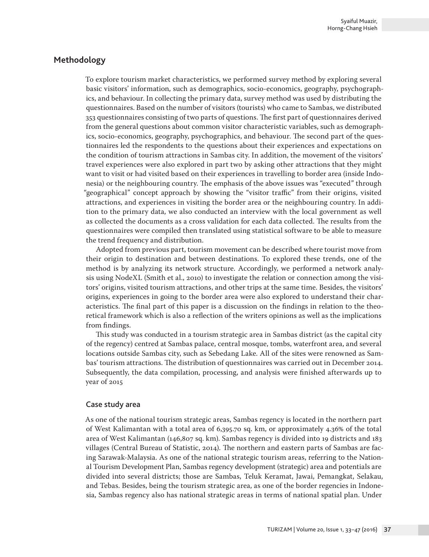# **Methodology**

To explore tourism market characteristics, we performed survey method by exploring several basic visitors' information, such as demographics, socio-economics, geography, psychographics, and behaviour. In collecting the primary data, survey method was used by distributing the questionnaires. Based on the number of visitors (tourists) who came to Sambas, we distributed 353 questionnaires consisting of two parts of questions. The first part of questionnaires derived from the general questions about common visitor characteristic variables, such as demographics, socio-economics, geography, psychographics, and behaviour. The second part of the questionnaires led the respondents to the questions about their experiences and expectations on the condition of tourism attractions in Sambas city. In addition, the movement of the visitors' travel experiences were also explored in part two by asking other attractions that they might want to visit or had visited based on their experiences in travelling to border area (inside Indonesia) or the neighbouring country. The emphasis of the above issues was "executed" through "geographical" concept approach by showing the "visitor traffic" from their origins, visited attractions, and experiences in visiting the border area or the neighbouring country. In addition to the primary data, we also conducted an interview with the local government as well as collected the documents as a cross validation for each data collected. The results from the questionnaires were compiled then translated using statistical software to be able to measure the trend frequency and distribution.

Adopted from previous part, tourism movement can be described where tourist move from their origin to destination and between destinations. To explored these trends, one of the method is by analyzing its network structure. Accordingly, we performed a network analysis using NodeXL (Smith et al., 2010) to investigate the relation or connection among the visitors' origins, visited tourism attractions, and other trips at the same time. Besides, the visitors' origins, experiences in going to the border area were also explored to understand their characteristics. The final part of this paper is a discussion on the findings in relation to the theoretical framework which is also a reflection of the writers opinions as well as the implications from findings.

This study was conducted in a tourism strategic area in Sambas district (as the capital city of the regency) centred at Sambas palace, central mosque, tombs, waterfront area, and several locations outside Sambas city, such as Sebedang Lake. All of the sites were renowned as Sambas' tourism attractions. The distribution of questionnaires was carried out in December 2014. Subsequently, the data compilation, processing, and analysis were finished afterwards up to year of 2015

#### Case study area

As one of the national tourism strategic areas, Sambas regency is located in the northern part of West Kalimantan with a total area of 6,395.70 sq. km, or approximately 4.36% of the total area of West Kalimantan (146,807 sq. km). Sambas regency is divided into 19 districts and 183 villages (Central Bureau of Statistic, 2014). The northern and eastern parts of Sambas are facing Sarawak-Malaysia. As one of the national strategic tourism areas, referring to the National Tourism Development Plan, Sambas regency development (strategic) area and potentials are divided into several districts; those are Sambas, Teluk Keramat, Jawai, Pemangkat, Selakau, and Tebas. Besides, being the tourism strategic area, as one of the border regencies in Indonesia, Sambas regency also has national strategic areas in terms of national spatial plan. Under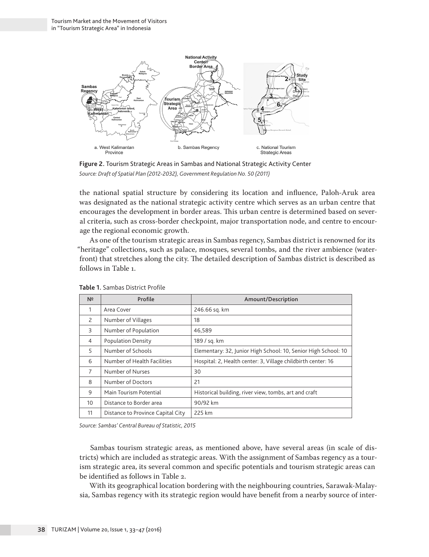

**Figure 2.** Tourism Strategic Areas in Sambas and National Strategic Activity Center *Source: Draft of Spatial Plan (2012-2032), Government Regulation No. 50 (2011)*

the national spatial structure by considering its location and influence, Paloh-Aruk area was designated as the national strategic activity centre which serves as an urban centre that encourages the development in border areas. This urban centre is determined based on several criteria, such as cross-border checkpoint, major transportation node, and centre to encourage the regional economic growth.

As one of the tourism strategic areas in Sambas regency, Sambas district is renowned for its "heritage" collections, such as palace, mosques, several tombs, and the river ambience (waterfront) that stretches along the city. The detailed description of Sambas district is described as follows in Table 1.

| N <sup>2</sup> | Profile                           | Amount/Description                                             |
|----------------|-----------------------------------|----------------------------------------------------------------|
| 1              | Area Cover                        | 246.66 sq. km                                                  |
| 2              | Number of Villages                | 18                                                             |
| 3              | Number of Population              | 46,589                                                         |
| 4              | <b>Population Density</b>         | 189 / sq. km                                                   |
| 5              | Number of Schools                 | Elementary: 32, Junior High School: 10, Senior High School: 10 |
| 6              | Number of Health Facilities       | Hospital: 2, Health center: 3, Village childbirth center: 16   |
| 7              | Number of Nurses                  | 30                                                             |
| 8              | Number of Doctors                 | 21                                                             |
| 9              | Main Tourism Potential            | Historical building, river view, tombs, art and craft          |
| 10             | Distance to Border area           | 90/92 km                                                       |
| 11             | Distance to Province Capital City | 225 km                                                         |

**Table 1.** Sambas District Profile

*Source: Sambas' Central Bureau of Statistic, 2015*

Sambas tourism strategic areas, as mentioned above, have several areas (in scale of districts) which are included as strategic areas. With the assignment of Sambas regency as a tourism strategic area, its several common and specific potentials and tourism strategic areas can be identified as follows in Table 2.

With its geographical location bordering with the neighbouring countries, Sarawak-Malaysia, Sambas regency with its strategic region would have benefit from a nearby source of inter-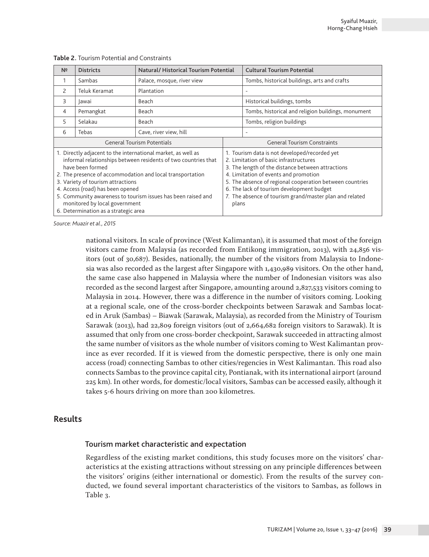| N <sup>2</sup>                                                                                                                                                                                                                                                                                                                                                                                                                    | <b>Districts</b> | Natural/Historical Tourism Potential |                                                                                                                                                                                                                                                                                                                                                                    | <b>Cultural Tourism Potential</b>                  |  |  |
|-----------------------------------------------------------------------------------------------------------------------------------------------------------------------------------------------------------------------------------------------------------------------------------------------------------------------------------------------------------------------------------------------------------------------------------|------------------|--------------------------------------|--------------------------------------------------------------------------------------------------------------------------------------------------------------------------------------------------------------------------------------------------------------------------------------------------------------------------------------------------------------------|----------------------------------------------------|--|--|
|                                                                                                                                                                                                                                                                                                                                                                                                                                   | Sambas           | Palace, mosque, river view           |                                                                                                                                                                                                                                                                                                                                                                    | Tombs, historical buildings, arts and crafts       |  |  |
| $\overline{\phantom{0}}$                                                                                                                                                                                                                                                                                                                                                                                                          | Teluk Keramat    | Plantation                           |                                                                                                                                                                                                                                                                                                                                                                    |                                                    |  |  |
| 3                                                                                                                                                                                                                                                                                                                                                                                                                                 | lawai            | Beach                                |                                                                                                                                                                                                                                                                                                                                                                    | Historical buildings, tombs                        |  |  |
| 4                                                                                                                                                                                                                                                                                                                                                                                                                                 | Pemangkat        | Beach                                |                                                                                                                                                                                                                                                                                                                                                                    | Tombs, historical and religion buildings, monument |  |  |
| 5                                                                                                                                                                                                                                                                                                                                                                                                                                 | Selakau          | Beach                                |                                                                                                                                                                                                                                                                                                                                                                    | Tombs, religion buildings                          |  |  |
| 6                                                                                                                                                                                                                                                                                                                                                                                                                                 | Tebas            | Cave, river view, hill               |                                                                                                                                                                                                                                                                                                                                                                    |                                                    |  |  |
| <b>General Tourism Potentials</b>                                                                                                                                                                                                                                                                                                                                                                                                 |                  |                                      | <b>General Tourism Constraints</b>                                                                                                                                                                                                                                                                                                                                 |                                                    |  |  |
| 1. Directly adjacent to the international market, as well as<br>informal relationships between residents of two countries that<br>have been formed<br>2. The presence of accommodation and local transportation<br>3. Variety of tourism attractions<br>4. Access (road) has been opened<br>5. Community awareness to tourism issues has been raised and<br>monitored by local government<br>6. Determination as a strategic area |                  |                                      | 1. Tourism data is not developed/recorded yet<br>2. Limitation of basic infrastructures<br>3. The length of the distance between attractions<br>4. Limitation of events and promotion<br>5. The absence of regional cooperation between countries<br>6. The lack of tourism development budget<br>7. The absence of tourism grand/master plan and related<br>plans |                                                    |  |  |

**Table 2.** Tourism Potential and Constraints

*Source: Muazir et al., 2015*

national visitors. In scale of province (West Kalimantan), it is assumed that most of the foreign visitors came from Malaysia (as recorded from Entikong immigration, 2013), with 24,856 visitors (out of 30,687). Besides, nationally, the number of the visitors from Malaysia to Indonesia was also recorded as the largest after Singapore with 1,430,989 visitors. On the other hand, the same case also happened in Malaysia where the number of Indonesian visitors was also recorded as the second largest after Singapore, amounting around 2,827,533 visitors coming to Malaysia in 2014. However, there was a difference in the number of visitors coming. Looking at a regional scale, one of the cross-border checkpoints between Sarawak and Sambas located in Aruk (Sambas) – Biawak (Sarawak, Malaysia), as recorded from the Ministry of Tourism Sarawak (2013), had 22,809 foreign visitors (out of 2,664,682 foreign visitors to Sarawak). It is assumed that only from one cross-border checkpoint, Sarawak succeeded in attracting almost the same number of visitors as the whole number of visitors coming to West Kalimantan province as ever recorded. If it is viewed from the domestic perspective, there is only one main access (road) connecting Sambas to other cities/regencies in West Kalimantan. This road also connects Sambas to the province capital city, Pontianak, with its international airport (around 225 km). In other words, for domestic/local visitors, Sambas can be accessed easily, although it takes 5-6 hours driving on more than 200 kilometres.

## **Results**

#### Tourism market characteristic and expectation

Regardless of the existing market conditions, this study focuses more on the visitors' characteristics at the existing attractions without stressing on any principle differences between the visitors' origins (either international or domestic). From the results of the survey conducted, we found several important characteristics of the visitors to Sambas, as follows in Table 3.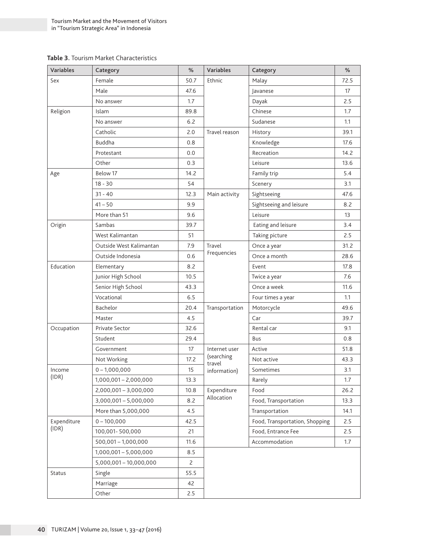#### **Table 3.** Tourism Market Characteristics

| Variables     | Category                      | %    | <b>Variables</b>     | Category                       | %    |  |
|---------------|-------------------------------|------|----------------------|--------------------------------|------|--|
| Sex           | Female                        | 50.7 | Ethnic               | Malay                          | 72.5 |  |
|               | Male                          | 47.6 |                      | Javanese                       | 17   |  |
|               | No answer                     | 1.7  |                      | Dayak                          | 2.5  |  |
| Religion      | Islam                         | 89.8 |                      | Chinese                        | 1.7  |  |
|               | No answer                     | 6.2  |                      | Sudanese                       | 1.1  |  |
|               | Catholic                      | 2.0  | Travel reason        | History                        | 39.1 |  |
|               | Buddha                        | 0.8  |                      | Knowledge                      | 17.6 |  |
|               | Protestant                    | 0.0  |                      | Recreation                     | 14.2 |  |
|               | Other                         | 0.3  |                      | Leisure                        | 13.6 |  |
| Age           | Below 17                      | 14.2 |                      | Family trip                    | 5.4  |  |
|               | $18 - 30$                     | 54   |                      | Scenery                        | 3.1  |  |
|               | $31 - 40$                     | 12.3 | Main activity        | Sightseeing                    | 47.6 |  |
|               | $41 - 50$                     | 9.9  |                      | Sightseeing and leisure        | 8.2  |  |
|               | More than 51                  | 9.6  |                      | Leisure                        | 13   |  |
| Origin        | Sambas                        | 39.7 |                      | Eating and leisure             | 3.4  |  |
|               | West Kalimantan               | 51   |                      | Taking picture                 | 2.5  |  |
|               | Outside West Kalimantan       | 7.9  | Travel               | Once a year                    | 31.2 |  |
|               | Outside Indonesia             | 0.6  | Frequencies          | Once a month                   | 28.6 |  |
| Education     | Elementary                    | 8.2  |                      | Event                          | 17.8 |  |
|               | Junior High School            | 10.5 |                      | Twice a year                   | 7.6  |  |
|               | Senior High School            | 43.3 |                      | Once a week                    | 11.6 |  |
|               | Vocational                    | 6.5  |                      | Four times a year              | 1.1  |  |
|               | Bachelor                      | 20.4 | Transportation       | Motorcycle                     | 49.6 |  |
|               | Master                        | 4.5  |                      | Car                            | 39.7 |  |
| Occupation    | Private Sector                | 32.6 |                      | Rental car                     | 9.1  |  |
|               | Student                       | 29.4 |                      | Bus                            | 0.8  |  |
|               | Government                    | 17   | Internet user        | Active                         | 51.8 |  |
|               | 17.2<br>Not Working           |      | (searching<br>travel | Not active                     | 43.3 |  |
| Income        | $0 - 1,000,000$               | 15   | information)         | Sometimes                      | 3.1  |  |
| (IDR)         | $1,000,001 - 2,000,000$       | 13.3 |                      | Rarely                         | 1.7  |  |
|               | 2,000,001 - 3,000,000<br>10.8 |      | Expenditure          | Food                           | 26.2 |  |
|               | $3,000,001 - 5,000,000$       | 8.2  | Allocation           | Food, Transportation           | 13.3 |  |
|               | More than 5,000,000           | 4.5  |                      | Transportation                 | 14.1 |  |
| Expenditure   | $0 - 100,000$                 | 42.5 |                      | Food, Transportation, Shopping | 2.5  |  |
| (IDR)         | 100,001-500,000               | 21   |                      | Food, Entrance Fee<br>2.5      |      |  |
|               | $500,001 - 1,000,000$         | 11.6 |                      | Accommodation                  | 1.7  |  |
|               | $1,000,001 - 5,000,000$       | 8.5  |                      |                                |      |  |
|               | 5,000,001 - 10,000,000        | 2    |                      |                                |      |  |
| <b>Status</b> | Single                        | 55.5 |                      |                                |      |  |
|               | Marriage                      | 42   |                      |                                |      |  |
|               | Other                         | 2.5  |                      |                                |      |  |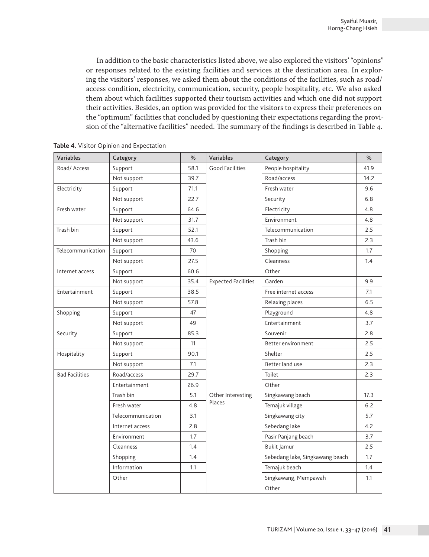In addition to the basic characteristics listed above, we also explored the visitors' "opinions" or responses related to the existing facilities and services at the destination area. In exploring the visitors' responses, we asked them about the conditions of the facilities, such as road/ access condition, electricity, communication, security, people hospitality, etc. We also asked them about which facilities supported their tourism activities and which one did not support their activities. Besides, an option was provided for the visitors to express their preferences on the "optimum" facilities that concluded by questioning their expectations regarding the provision of the "alternative facilities" needed. The summary of the findings is described in Table 4.

| Variables             | Category          | %    | Variables                  | Category                        | %    |
|-----------------------|-------------------|------|----------------------------|---------------------------------|------|
| Road/ Access          | Support           | 58.1 | Good Facilities            | People hospitality              | 41.9 |
|                       | Not support       | 39.7 |                            | Road/access                     | 14.2 |
| Electricity           | Support           | 71.1 |                            | Fresh water                     | 9.6  |
|                       | Not support       | 22.7 |                            | Security                        | 6.8  |
| Fresh water           | Support           | 64.6 |                            | Electricity                     | 4.8  |
|                       | Not support       | 31.7 |                            | Environment                     | 4.8  |
| Trash bin             | Support           | 52.1 |                            | Telecommunication               | 2.5  |
|                       | Not support       | 43.6 |                            | Trash bin                       | 2.3  |
| Telecommunication     | Support           | 70   |                            | Shopping                        | 1.7  |
|                       | Not support       | 27.5 |                            | Cleanness                       | 1.4  |
| Internet access       | Support           | 60.6 |                            | Other                           |      |
|                       | Not support       | 35.4 | <b>Expected Facilities</b> | Garden                          | 9.9  |
| Entertainment         | Support           | 38.5 |                            | Free internet access            | 7.1  |
|                       | Not support       | 57.8 |                            | Relaxing places                 | 6.5  |
| Shopping              | Support           | 47   |                            | Playground                      | 4.8  |
|                       | Not support       | 49   |                            | Entertainment                   | 3.7  |
| Security              | Support           | 85.3 |                            | Souvenir                        | 2.8  |
|                       | Not support       | 11   |                            | Better environment              | 2.5  |
| Hospitality           | Support           | 90.1 |                            | Shelter                         | 2.5  |
|                       | Not support       | 7.1  |                            | Better land use                 | 2.3  |
| <b>Bad Facilities</b> | Road/access       | 29.7 |                            | Toilet                          | 2.3  |
|                       | Entertainment     | 26.9 |                            | Other                           |      |
|                       | Trash bin         | 5.1  | Other Interesting          | Singkawang beach                | 17.3 |
|                       | Fresh water       | 4.8  | Places                     | Temajuk village                 | 6.2  |
|                       | Telecommunication | 3.1  |                            | Singkawang city                 | 5.7  |
|                       | Internet access   | 2.8  |                            | Sebedang lake                   | 4.2  |
|                       | Environment       | 1.7  |                            | Pasir Panjang beach             | 3.7  |
|                       | Cleanness         | 1.4  |                            | Bukit Jamur                     | 2.5  |
|                       | Shopping          | 1.4  |                            | Sebedang lake, Singkawang beach | 1.7  |
|                       | Information       | 1.1  |                            | Temajuk beach                   | 1.4  |
|                       | Other             |      |                            | Singkawang, Mempawah            | 1.1  |
|                       |                   |      |                            | Other                           |      |

**Table 4.** Visitor Opinion and Expectation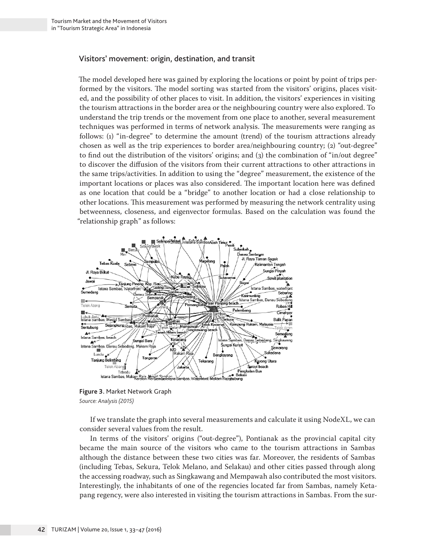#### Visitors' movement: origin, destination, and transit

The model developed here was gained by exploring the locations or point by point of trips performed by the visitors. The model sorting was started from the visitors' origins, places visited, and the possibility of other places to visit. In addition, the visitors' experiences in visiting the tourism attractions in the border area or the neighbouring country were also explored. To understand the trip trends or the movement from one place to another, several measurement techniques was performed in terms of network analysis. The measurements were ranging as follows: (1) "in-degree" to determine the amount (trend) of the tourism attractions already chosen as well as the trip experiences to border area/neighbouring country; (2) "out-degree" to find out the distribution of the visitors' origins; and (3) the combination of "in/out degree" to discover the diffusion of the visitors from their current attractions to other attractions in the same trips/activities. In addition to using the "degree" measurement, the existence of the important locations or places was also considered. The important location here was defined as one location that could be a "bridge" to another location or had a close relationship to other locations. This measurement was performed by measuring the network centrality using betweenness, closeness, and eigenvector formulas. Based on the calculation was found the "relationship graph" as follows:



**Figure 3.** Market Network Graph *Source: Analysis (2015)*

If we translate the graph into several measurements and calculate it using NodeXL, we can consider several values from the result.

In terms of the visitors' origins ("out-degree"), Pontianak as the provincial capital city became the main source of the visitors who came to the tourism attractions in Sambas although the distance between these two cities was far. Moreover, the residents of Sambas (including Tebas, Sekura, Telok Melano, and Selakau) and other cities passed through along the accessing roadway, such as Singkawang and Mempawah also contributed the most visitors. Interestingly, the inhabitants of one of the regencies located far from Sambas, namely Ketapang regency, were also interested in visiting the tourism attractions in Sambas. From the sur-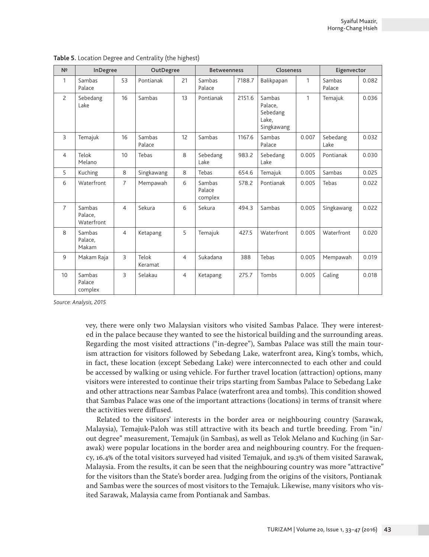| N <sup>2</sup> | InDegree                        |                | OutDegree        |                | <b>Betweenness</b>          |        | Closeness                                            |       | Eigenvector      |       |
|----------------|---------------------------------|----------------|------------------|----------------|-----------------------------|--------|------------------------------------------------------|-------|------------------|-------|
| 1              | Sambas<br>Palace                | 53             | Pontianak        | 21             | Sambas<br>Palace            | 7188.7 | Balikpapan                                           | 1     | Sambas<br>Palace | 0.082 |
| $\overline{c}$ | Sebedang<br>Lake                | 16             | Sambas           | 13             | Pontianak                   | 2151.6 | Sambas<br>Palace,<br>Sebedang<br>Lake,<br>Singkawang | 1     | Temajuk          | 0.036 |
| $\overline{3}$ | Temajuk                         | 16             | Sambas<br>Palace | 12             | Sambas                      | 1167.6 | Sambas<br>Palace                                     | 0.007 | Sebedang<br>Lake | 0.032 |
| $\overline{4}$ | Telok<br>Melano                 | 10             | Tebas            | 8              | Sebedang<br>Lake            | 983.2  | Sebedang<br>Lake                                     | 0.005 | Pontianak        | 0.030 |
| 5              | Kuching                         | 8              | Singkawang       | 8              | Tebas                       | 654.6  | Temajuk                                              | 0.005 | Sambas           | 0.025 |
| 6              | Waterfront                      | $\overline{7}$ | Mempawah         | 6              | Sambas<br>Palace<br>complex | 578.2  | Pontianak                                            | 0.005 | Tebas            | 0.022 |
| $\overline{7}$ | Sambas<br>Palace,<br>Waterfront | $\overline{4}$ | Sekura           | 6              | Sekura                      | 494.3  | Sambas                                               | 0.005 | Singkawang       | 0.022 |
| $\mathsf{R}$   | Sambas<br>Palace,<br>Makam      | $\overline{4}$ | Ketapang         | 5              | Temajuk                     | 427.5  | Waterfront                                           | 0.005 | Waterfront       | 0.020 |
| 9              | Makam Raja                      | 3              | Telok<br>Keramat | $\overline{4}$ | Sukadana                    | 388    | Tebas                                                | 0.005 | Mempawah         | 0.019 |
| 10             | Sambas<br>Palace<br>complex     | 3              | Selakau          | $\overline{4}$ | Ketapang                    | 275.7  | Tombs                                                | 0.005 | Galing           | 0.018 |

**Table 5.** Location Degree and Centrality (the highest)

*Source: Analysis, 2015*

vey, there were only two Malaysian visitors who visited Sambas Palace. They were interested in the palace because they wanted to see the historical building and the surrounding areas. Regarding the most visited attractions ("in-degree"), Sambas Palace was still the main tourism attraction for visitors followed by Sebedang Lake, waterfront area, King's tombs, which, in fact, these location (except Sebedang Lake) were interconnected to each other and could be accessed by walking or using vehicle. For further travel location (attraction) options, many visitors were interested to continue their trips starting from Sambas Palace to Sebedang Lake and other attractions near Sambas Palace (waterfront area and tombs). This condition showed that Sambas Palace was one of the important attractions (locations) in terms of transit where the activities were diffused.

Related to the visitors' interests in the border area or neighbouring country (Sarawak, Malaysia), Temajuk-Paloh was still attractive with its beach and turtle breeding. From "in/ out degree" measurement, Temajuk (in Sambas), as well as Telok Melano and Kuching (in Sarawak) were popular locations in the border area and neighbouring country. For the frequency, 16.4% of the total visitors surveyed had visited Temajuk, and 19.3% of them visited Sarawak, Malaysia. From the results, it can be seen that the neighbouring country was more "attractive" for the visitors than the State's border area. Judging from the origins of the visitors, Pontianak and Sambas were the sources of most visitors to the Temajuk. Likewise, many visitors who visited Sarawak, Malaysia came from Pontianak and Sambas.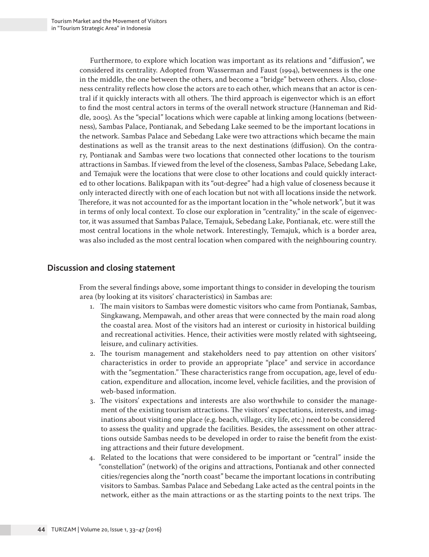Furthermore, to explore which location was important as its relations and "diffusion", we considered its centrality. Adopted from Wasserman and Faust (1994), betweenness is the one in the middle, the one between the others, and become a "bridge" between others. Also, closeness centrality reflects how close the actors are to each other, which means that an actor is central if it quickly interacts with all others. The third approach is eigenvector which is an effort to find the most central actors in terms of the overall network structure (Hanneman and Riddle, 2005). As the "special" locations which were capable at linking among locations (betweenness), Sambas Palace, Pontianak, and Sebedang Lake seemed to be the important locations in the network. Sambas Palace and Sebedang Lake were two attractions which became the main destinations as well as the transit areas to the next destinations (diffusion). On the contrary, Pontianak and Sambas were two locations that connected other locations to the tourism attractions in Sambas. If viewed from the level of the closeness, Sambas Palace, Sebedang Lake, and Temajuk were the locations that were close to other locations and could quickly interacted to other locations. Balikpapan with its "out-degree" had a high value of closeness because it only interacted directly with one of each location but not with all locations inside the network. Therefore, it was not accounted for as the important location in the "whole network", but it was in terms of only local context. To close our exploration in "centrality," in the scale of eigenvector, it was assumed that Sambas Palace, Temajuk, Sebedang Lake, Pontianak, etc. were still the most central locations in the whole network. Interestingly, Temajuk, which is a border area, was also included as the most central location when compared with the neighbouring country.

# **Discussion and closing statement**

From the several findings above, some important things to consider in developing the tourism area (by looking at its visitors' characteristics) in Sambas are:

- 1. The main visitors to Sambas were domestic visitors who came from Pontianak, Sambas, Singkawang, Mempawah, and other areas that were connected by the main road along the coastal area. Most of the visitors had an interest or curiosity in historical building and recreational activities. Hence, their activities were mostly related with sightseeing, leisure, and culinary activities.
- 2. The tourism management and stakeholders need to pay attention on other visitors' characteristics in order to provide an appropriate "place" and service in accordance with the "segmentation." These characteristics range from occupation, age, level of education, expenditure and allocation, income level, vehicle facilities, and the provision of web-based information.
- 3. The visitors' expectations and interests are also worthwhile to consider the management of the existing tourism attractions. The visitors' expectations, interests, and imaginations about visiting one place (e.g. beach, village, city life, etc.) need to be considered to assess the quality and upgrade the facilities. Besides, the assessment on other attractions outside Sambas needs to be developed in order to raise the benefit from the existing attractions and their future development.
- 4. Related to the locations that were considered to be important or "central" inside the "constellation" (network) of the origins and attractions, Pontianak and other connected cities/regencies along the "north coast" became the important locations in contributing visitors to Sambas. Sambas Palace and Sebedang Lake acted as the central points in the network, either as the main attractions or as the starting points to the next trips. The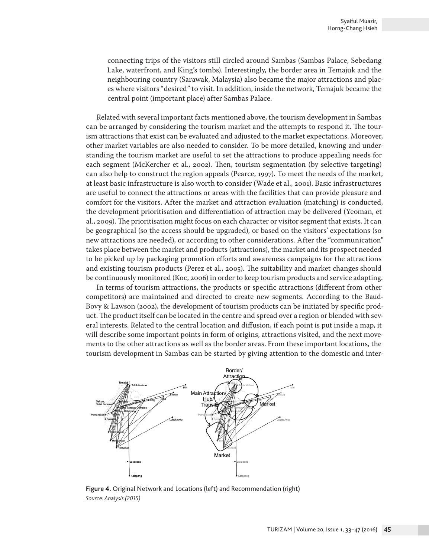connecting trips of the visitors still circled around Sambas (Sambas Palace, Sebedang Lake, waterfront, and King's tombs). Interestingly, the border area in Temajuk and the neighbouring country (Sarawak, Malaysia) also became the major attractions and places where visitors "desired" to visit. In addition, inside the network, Temajuk became the central point (important place) after Sambas Palace.

Related with several important facts mentioned above, the tourism development in Sambas can be arranged by considering the tourism market and the attempts to respond it. The tourism attractions that exist can be evaluated and adjusted to the market expectations. Moreover, other market variables are also needed to consider. To be more detailed, knowing and understanding the tourism market are useful to set the attractions to produce appealing needs for each segment (McKercher et al., 2002). Then, tourism segmentation (by selective targeting) can also help to construct the region appeals (Pearce, 1997). To meet the needs of the market, at least basic infrastructure is also worth to consider (Wade et al., 2001). Basic infrastructures are useful to connect the attractions or areas with the facilities that can provide pleasure and comfort for the visitors. After the market and attraction evaluation (matching) is conducted, the development prioritisation and differentiation of attraction may be delivered (Yeoman, et al., 2009). The prioritisation might focus on each character or visitor segment that exists. It can be geographical (so the access should be upgraded), or based on the visitors' expectations (so new attractions are needed), or according to other considerations. After the "communication" takes place between the market and products (attractions), the market and its prospect needed to be picked up by packaging promotion efforts and awareness campaigns for the attractions and existing tourism products (Perez et al., 2005). The suitability and market changes should be continuously monitored (Koc, 2006) in order to keep tourism products and service adapting.

In terms of tourism attractions, the products or specific attractions (different from other competitors) are maintained and directed to create new segments. According to the Baud-Bovy & Lawson (2002), the development of tourism products can be initiated by specific product. The product itself can be located in the centre and spread over a region or blended with several interests. Related to the central location and diffusion, if each point is put inside a map, it will describe some important points in form of origins, attractions visited, and the next movements to the other attractions as well as the border areas. From these important locations, the tourism development in Sambas can be started by giving attention to the domestic and inter-



**Figure 4.** Original Network and Locations (left) and Recommendation (right) *Source: Analysis (2015)*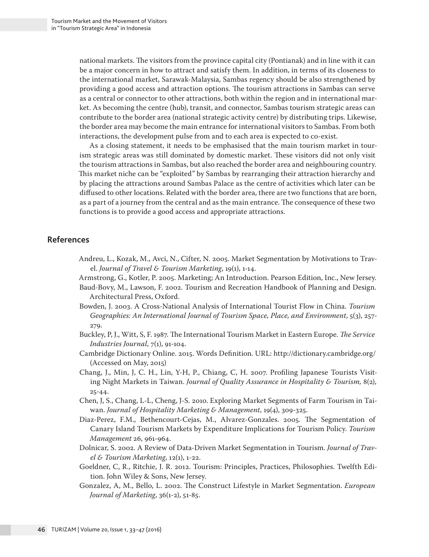national markets. The visitors from the province capital city (Pontianak) and in line with it can be a major concern in how to attract and satisfy them. In addition, in terms of its closeness to the international market, Sarawak-Malaysia, Sambas regency should be also strengthened by providing a good access and attraction options. The tourism attractions in Sambas can serve as a central or connector to other attractions, both within the region and in international market. As becoming the centre (hub), transit, and connector, Sambas tourism strategic areas can contribute to the border area (national strategic activity centre) by distributing trips. Likewise, the border area may become the main entrance for international visitors to Sambas. From both interactions, the development pulse from and to each area is expected to co-exist.

As a closing statement, it needs to be emphasised that the main tourism market in tourism strategic areas was still dominated by domestic market. These visitors did not only visit the tourism attractions in Sambas, but also reached the border area and neighbouring country. This market niche can be "exploited" by Sambas by rearranging their attraction hierarchy and by placing the attractions around Sambas Palace as the centre of activities which later can be diffused to other locations. Related with the border area, there are two functions that are born, as a part of a journey from the central and as the main entrance. The consequence of these two functions is to provide a good access and appropriate attractions.

## **References**

- Andreu, L., Kozak, M., Avci, N., Cifter, N. 2005. Market Segmentation by Motivations to Travel. *Journal of Travel & Tourism Marketing*, 19(1), 1-14.
- Armstrong, G., Kotler, P. 2005. Marketing; An Introduction. Pearson Edition, Inc., New Jersey.
- Baud-Bovy, M., Lawson, F. 2002. Tourism and Recreation Handbook of Planning and Design. Architectural Press, Oxford.
- Bowden, J. 2003. A Cross-National Analysis of International Tourist Flow in China. *Tourism Geographies: An International Journal of Tourism Space, Place, and Environment*, 5(3), 257- 279.
- Buckley, P, J., Witt, S, F. 1987. The International Tourism Market in Eastern Europe. *The Service Industries Journal*, 7(1), 91-104.
- Cambridge Dictionary Online. 2015. Words Definition. URL: http://dictionary.cambridge.org/ (Accessed on May, 2015)
- Chang, J., Min, J, C. H., Lin, Y-H, P., Chiang, C, H. 2007. Profiling Japanese Tourists Visiting Night Markets in Taiwan. *Journal of Quality Assurance in Hospitality & Tourism,* 8(2), 25-44.
- Chen, J, S., Chang, L-L, Cheng, J-S. 2010. Exploring Market Segments of Farm Tourism in Taiwan. *Journal of Hospitality Marketing & Management*, 19(4), 309-325.
- Diaz-Perez, F.M., Bethencourt-Cejas, M., Alvarez-Gonzales. 2005. The Segmentation of Canary Island Tourism Markets by Expenditure Implications for Tourism Policy. *Tourism Management* 26, 961-964.
- Dolnicar, S. 2002. A Review of Data-Driven Market Segmentation in Tourism. *Journal of Travel & Tourism Marketing*, 12(1), 1-22.
- Goeldner, C, R., Ritchie, J. R. 2012. Tourism: Principles, Practices, Philosophies. Twelfth Edition. John Wiley & Sons, New Jersey.
- Gonzalez, A, M., Bello, L. 2002. The Construct Lifestyle in Market Segmentation. *European Journal of Marketing*, 36(1-2), 51-85.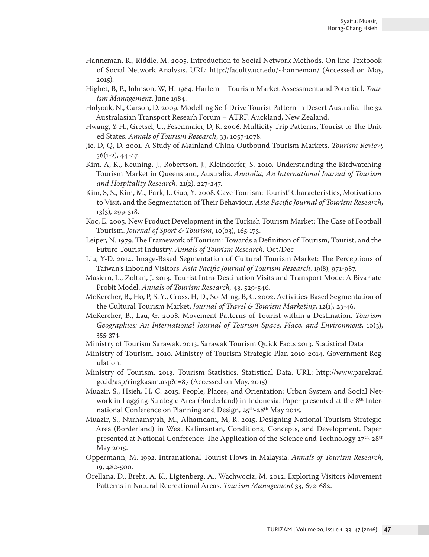- Hanneman, R., Riddle, M. 2005. Introduction to Social Network Methods. On line Textbook of Social Network Analysis. URL: http://faculty.ucr.edu/~hanneman/ (Accessed on May, 2015).
- Highet, B, P., Johnson, W, H. 1984. Harlem Tourism Market Assessment and Potential. *Tourism Management*, June 1984.
- Holyoak, N., Carson, D. 2009. Modelling Self-Drive Tourist Pattern in Desert Australia. The 32 Australasian Transport Researh Forum – ATRF. Auckland, New Zealand.
- Hwang, Y-H., Gretsel, U., Fesenmaier, D, R. 2006. Multicity Trip Patterns, Tourist to The United States. *Annals of Tourism Research*, 33, 1057-1078.
- Jie, D, Q, D. 2001. A Study of Mainland China Outbound Tourism Markets. *Tourism Review,* 56(1-2), 44-47.
- Kim, A, K., Keuning, J., Robertson, J., Kleindorfer, S. 2010. Understanding the Birdwatching Tourism Market in Queensland, Australia. *Anatolia, An International Journal of Tourism and Hospitality Research*, 21(2), 227-247.
- Kim, S, S., Kim, M., Park, J., Guo, Y. 2008. Cave Tourism: Tourist' Characteristics, Motivations to Visit, and the Segmentation of Their Behaviour. *Asia Pacific Journal of Tourism Research,*  13(3), 299-318.
- Koc, E. 2005. New Product Development in the Turkish Tourism Market: The Case of Football Tourism. *Journal of Sport & Tourism*, 10(03), 165-173.
- Leiper, N. 1979. The Framework of Tourism: Towards a Definition of Tourism, Tourist, and the Future Tourist Industry. *Annals of Tourism Research.* Oct/Dec
- Liu, Y-D. 2014. Image-Based Segmentation of Cultural Tourism Market: The Perceptions of Taiwan's Inbound Visitors. *Asia Pacific Journal of Tourism Research,* 19(8), 971-987.
- Masiero, L., Zoltan, J. 2013. Tourist Intra-Destination Visits and Transport Mode: A Bivariate Probit Model. *Annals of Tourism Research,* 43, 529-546.
- McKercher, B., Ho, P, S. Y., Cross, H, D., So-Ming, B, C. 2002. Activities-Based Segmentation of the Cultural Tourism Market. *Journal of Travel & Tourism Marketing*, 12(1), 23-46.
- McKercher, B., Lau, G. 2008. Movement Patterns of Tourist within a Destination. *Tourism Geographies: An International Journal of Tourism Space, Place, and Environment,* 10(3), 355-374.
- Ministry of Tourism Sarawak. 2013. Sarawak Tourism Quick Facts 2013. Statistical Data
- Ministry of Tourism. 2010. Ministry of Tourism Strategic Plan 2010-2014. Government Regulation.
- Ministry of Tourism. 2013. Tourism Statistics. Statistical Data. URL: http://www.parekraf. go.id/asp/ringkasan.asp?c=87 (Accessed on May, 2015)
- Muazir, S., Hsieh, H, C. 2015. People, Places, and Orientation: Urban System and Social Network in Lagging-Strategic Area (Borderland) in Indonesia. Paper presented at the 8<sup>th</sup> International Conference on Planning and Design, 25th-28th May 2015.
- Muazir, S., Nurhamsyah, M., Alhamdani, M, R. 2015. Designing National Tourism Strategic Area (Borderland) in West Kalimantan, Conditions, Concepts, and Development. Paper presented at National Conference: The Application of the Science and Technology  $27^{th}-28^{th}$ May 2015.
- Oppermann, M. 1992. Intranational Tourist Flows in Malaysia. *Annals of Tourism Research,* 19, 482-500.
- Orellana, D., Breht, A, K., Ligtenberg, A., Wachwociz, M. 2012. Exploring Visitors Movement Patterns in Natural Recreational Areas. *Tourism Management* 33, 672-682.